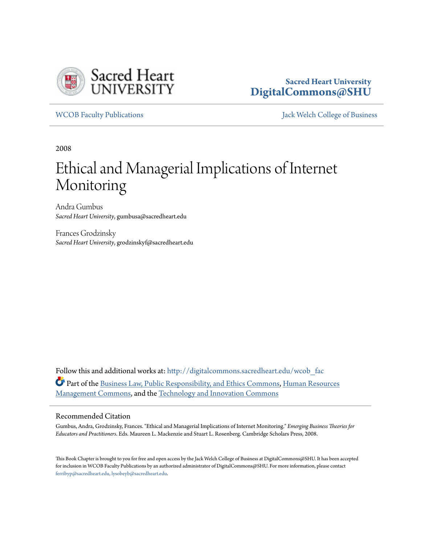

## **Sacred Heart University [DigitalCommons@SHU](http://digitalcommons.sacredheart.edu?utm_source=digitalcommons.sacredheart.edu%2Fwcob_fac%2F229&utm_medium=PDF&utm_campaign=PDFCoverPages)**

[WCOB Faculty Publications](http://digitalcommons.sacredheart.edu/wcob_fac?utm_source=digitalcommons.sacredheart.edu%2Fwcob_fac%2F229&utm_medium=PDF&utm_campaign=PDFCoverPages) [Jack Welch College of Business](http://digitalcommons.sacredheart.edu/wcob?utm_source=digitalcommons.sacredheart.edu%2Fwcob_fac%2F229&utm_medium=PDF&utm_campaign=PDFCoverPages)

2008

# Ethical and Managerial Implications of Internet Monitoring

Andra Gumbus *Sacred Heart University*, gumbusa@sacredheart.edu

Frances Grodzinsky *Sacred Heart University*, grodzinskyf@sacredheart.edu

Follow this and additional works at: [http://digitalcommons.sacredheart.edu/wcob\\_fac](http://digitalcommons.sacredheart.edu/wcob_fac?utm_source=digitalcommons.sacredheart.edu%2Fwcob_fac%2F229&utm_medium=PDF&utm_campaign=PDFCoverPages) Part of the [Business Law, Public Responsibility, and Ethics Commons,](http://network.bepress.com/hgg/discipline/628?utm_source=digitalcommons.sacredheart.edu%2Fwcob_fac%2F229&utm_medium=PDF&utm_campaign=PDFCoverPages) [Human Resources](http://network.bepress.com/hgg/discipline/633?utm_source=digitalcommons.sacredheart.edu%2Fwcob_fac%2F229&utm_medium=PDF&utm_campaign=PDFCoverPages) [Management Commons](http://network.bepress.com/hgg/discipline/633?utm_source=digitalcommons.sacredheart.edu%2Fwcob_fac%2F229&utm_medium=PDF&utm_campaign=PDFCoverPages), and the [Technology and Innovation Commons](http://network.bepress.com/hgg/discipline/644?utm_source=digitalcommons.sacredheart.edu%2Fwcob_fac%2F229&utm_medium=PDF&utm_campaign=PDFCoverPages)

#### Recommended Citation

Gumbus, Andra, Grodzinsky, Frances. "Ethical and Managerial Implications of Internet Monitoring." *Emerging Business Theories for Educators and Practitioners*. Eds. Maureen L. Mackenzie and Stuart L. Rosenberg. Cambridge Scholars Press, 2008.

This Book Chapter is brought to you for free and open access by the Jack Welch College of Business at DigitalCommons@SHU. It has been accepted for inclusion in WCOB Faculty Publications by an authorized administrator of DigitalCommons@SHU. For more information, please contact [ferribyp@sacredheart.edu, lysobeyb@sacredheart.edu.](mailto:ferribyp@sacredheart.edu,%20lysobeyb@sacredheart.edu)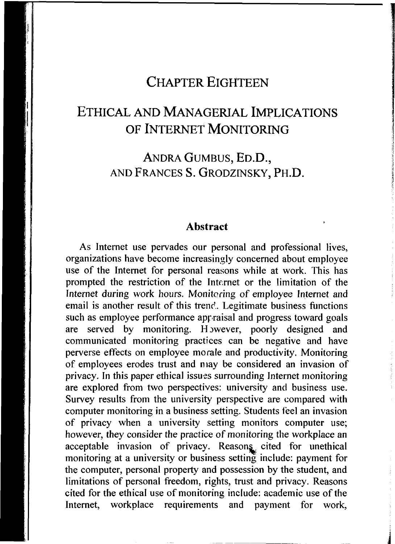### **CHAPTE R EIGHTEE N**

## **ETHICA L AN D MANAGERIA L IMPLICATION S O F INTERNE T MONITORIN G**

ANDRA GUMBUS, ED.D., AND FRANCES S. GRODZINSKY, PH.D.

#### **Abstract**

As Internet use pervades our personal and professional lives, organizations have become increasingly concerned about employee use of the Internet for personal reasons while at work. This has prompted the restriction of the Internet or the limitation of the Internet during work hours. Monitoring of employee Internet and email is another result of this trend. Legitimate business functions such as employee performance appraisal and progress toward goals are served by monitoring. However, poorly designed and communicated monitoring practices can be negative and have perverse effects on employee morale and productivity. Monitoring of employees erodes trust and niay be considered an invasion of privacy. In this paper ethical issues surrounding Internet monitoring are explored from two perspectives: university and business use. Survey results from the university perspective are compared with computer monitoring in a business setting. Students feel an invasion of privacy when a university setting monitors computer use; however, they consider the practice of monitoring the workplace an acceptable invasion of privacy. Reasons cited for unethical monitoring at a university or business setting include: payment for the computer, personal property and possession by the student, and limitations of personal freedom, rights, trust and privacy. Reasons cited for the ethical use of monitoring include: academic use of the Internet, workplace requirements and payment for work,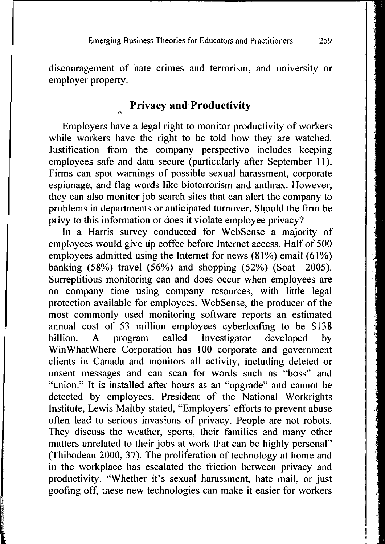discouragement of hate crimes and terrorism, and university or employer property.

#### **Privacy and Productivity**

Employers have a legal right to monitor productivity of workers while workers have the right to be told how they are watched. Justification from the company perspective includes keeping employees safe and data secure (particularly after September 11). Firms can spot warnings of possible sexual harassment, corporate espionage, and flag words like bioterrorism and anthrax. However, they can also monitor job search sites that can alert the company to problems in departments or anticipated turnover. Should the firm be privy to this information or does it violate employee privacy?

In a Harris survey conducted for WebSense a majority of employees would give up coffee before Internet access. Half of 500 employees admitted using the Internet for news (81%) email (61%) banking (58%) travel (56%) and shopping (52%) (Soat 2005). Surreptitious monitoring can and does occur when employees are on company time using company resources, with little legal protection available for employees. WebSense, the producer of the most commonly used monitoring software reports an estimated annual cost of 53 million employees cyberloafing to be \$138 billion. A program called Investigator developed by WinWhatWhere Corporation has 100 corporate and government clients in Canada and monitors all activity, including deleted or unsent messages and can scan for words such as "boss" and "union." It is installed after hours as an "upgrade" and cannot be detected by employees. President of the National Workrights Institute, Lewis Maltby stated, "Employers' efforts to prevent abuse often lead to serious invasions of privacy. People are not robots. They discuss the weather, sports, their families and many other matters unrelated to their jobs at work that can be highly personal" (Thibodeau 2000, 37). The proliferation of technology at home and in the workplace has escalated the friction between privacy and productivity. "Whether it's sexual harassment, hate mail, or just goofing off, these new technologies can make it easier for workers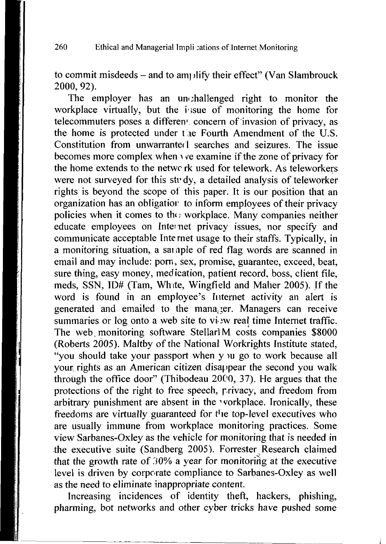to commit misdeeds  $-$  and to am) lify their effect" (Van Slambrouck 2000, 92).

The employer has an unchallenged right to monitor the workplace virtually, but the issue of monitoring the home for telecommuters poses a differen<sup>1</sup> concern of invasion of privacy, as the home is protected under the Fourth Amendment of the U.S. Constitution from unwarranted searches and seizures. The issue becomes more complex when \ *ve* examine if the zone of privacy for the home extends to the netwc rk used for telework. As teleworkers were not surveyed for this str dy, a detailed analysis of teleworker rights is beyond the scope of this paper. It is our position that an organization has an obligatior to inform employees of their privacy policies when it comes to the; workplace. Many companies neither educate employees on Internet privacy issues, nor specify and communicate acceptable Internet usage to their staffs. Typically, in a monitoring situation, a sample of red flag words are scanned in email and may include: porn, sex, promise, guarantee, exceed, beat, sure thing, easy money, medication, patient record, boss, client file, meds, SSN, ID# (Tarn, White, Wingfield and Maher 2005). If the word is found in an employee's Internet activity an alert is generated and emailed to the manager. Managers can receive summaries or log onto a web site to view real time Internet traffic. The web monitoring software StellarlM costs companies \$8000 (Roberts 2005). Maltby of the National Workrights Institute stated, "you should take your passport when y u go to work because all your rights as an American citizen disappear the second you walk through the office door" (Thibodeau 2000, 37). He argues that the protections of the right to free speech, privacy, and freedom from arbitrary punishment are absent in the workplace. Ironically, these freedoms are virtually guaranteed for the top-level executives who are usually immune from workplace monitoring practices. Some view Sarbanes-Oxley as the vehicle for monitoring that is needed in the executive suite (Sandberg 2005). Forrester Research claimed that the growth rate of 30% a year for monitoring at the executive level is driven by corporate compliance to Sarbanes-Oxley as well as the need to eliminate inappropriate content.

Increasing incidences of identity theft, hackers, phishing, pharming, bot networks and other cyber tricks have pushed some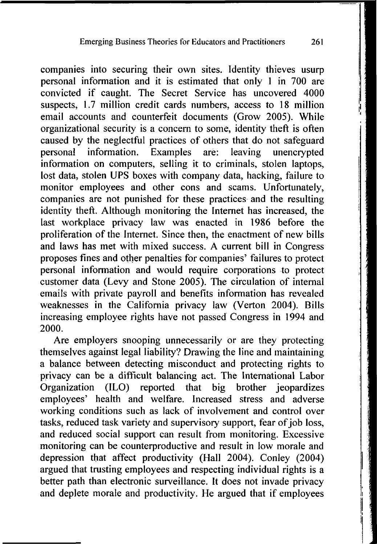companies into securing their own sites. Identity thieves usurp personal information and it is estimated that only 1 in 700 are convicted if caught. The Secret Service has uncovered 4000 suspects, 1.7 million credit cards numbers, access to 18 million email accounts and counterfeit documents (Grow 2005). While organizational security is a concern to some, identity theft is often caused by the neglectful practices of others that do not safeguard personal information. Examples are: leaving unencrypted information on computers, selling it to criminals, stolen laptops, lost data, stolen UPS boxes with company data, hacking, failure to monitor employees and other cons and scams. Unfortunately, companies are not punished for these practices and the resulting identity theft. Although monitoring the Internet has increased, the last workplace privacy law was enacted in 1986 before the proliferation of the Internet. Since then, the enactment of new bills and laws has met with mixed success. A current bill in Congress proposes fines and other penalties for companies' failures to protect personal information and would require corporations to protect customer data (Levy and Stone 2005). The circulation of internal emails with private payroll and benefits information has revealed weaknesses in the California privacy law (Verton 2004). Bills increasing employee rights have not passed Congress in 1994 and 2000.

Are employers snooping unnecessarily or are they protecting themselves against legal liability? Drawing the line and maintaining a balance between detecting misconduct and protecting rights to privacy can be a difficult balancing act. The International Labor Organization (ILO) reported that big brother jeopardizes employees' health and welfare. Increased stress and adverse working conditions such as lack of involvement and control over tasks, reduced task variety and supervisory support, fear of job loss, and reduced social support can result from monitoring. Excessive monitoring can be counterproductive and result in low morale and depression that affect productivity (Hall 2004). Conley (2004) argued that trusting employees and respecting individual rights is a better path than electronic surveillance. It does not invade privacy and deplete morale and productivity. He argued that if employees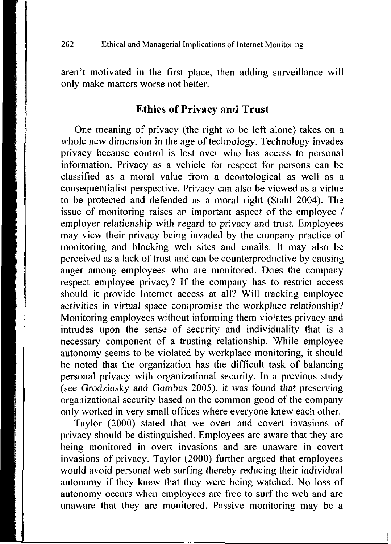aren't motivated in the first place, then adding surveillance will only make matters worse not better.

#### **Ethics of Privacy and Trust**

One meaning of privacy (the right to be left alone) takes on a whole new dimension in the age of technology. Technology invades privacy because control is lost over who has access to personal information. Privacy as a vehicle for respect for persons can be classified as a moral value from a deontological as well as a consequentialist perspective. Privacy can also be viewed as a virtue to be protected and defended as a moral right (Stahl 2004). The issue of monitoring raises ar important aspect of the employee / employer relationship with regard to privacy and trust. Employees may view their privacy being invaded by the company practice of monitoring and blocking web sites and emails. It may also be perceived as a lack of trust and can be counterproductive by causing anger among employees who are monitored. Does the company respect employee privac) ? If the company has to restrict access should it provide Internet access at all? Will tracking employee activities in virtual space compromise the workplace relationship? Monitoring employees without informing them violates privacy and intrudes upon the sense of security and individuality that is a necessary component of a trusting relationship. While employee autonomy seems to be violated by workplace monitoring, it should be noted that the organization has the difficult task of balancing personal privacy with organizational security. In a previous study (see Grodzinsky and Gumbus 2005), it was found that preserving organizational security based on the common good of the company only worked in very small offices where everyone knew each other.

Taylor (2000) stated that we overt and covert invasions of privacy should be distinguished. Employees are aware that they are being monitored in overt invasions and are unaware in covert invasions of privacy. Taylor (2000) further argued that employees would avoid personal web surfing thereby reducing their individual autonomy if they knew that they were being watched. No loss of autonomy occurs when employees are free to surf the web and are unaware that they are monitored. Passive monitoring may be a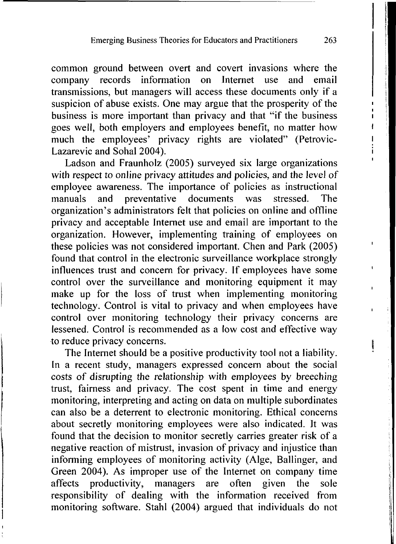common ground between overt and covert invasions where the company records information on Internet use and email company records information on Internet use and email transmissions, but managers will access these documents only if a suspicion of abuse exists. One may argue that the prosperity of the business is more important than privacy and that "if the business goes well, both employers and employees benefit, no matter how much the employees' privacy rights are violated" (Petrovic-Lazarevic and Sohal  $2004$ ).

Ladson and Fraunholz (2005) surveyed six large organizations with respect to online privacy attitudes and policies, and the level of employee awareness. The importance of policies as instructional manuals and preventative documents was stressed. The organization's administrators felt that policies on online and offline privacy and acceptable Internet use and email are important to the organization. However, implementing training of employees on these policies was not considered important. Chen and Park (2005) ' found that control in the electronic surveillance workplace strongly influences trust and concern for privacy. If employees have some ' control over the surveillance and monitoring equipment it may make up for the loss of trust when implementing monitoring technology. Control is vital to privacy and when employees have control over monitoring technology their privacy concerns are lessened. Control is recommended as a low cost and effective way to reduce privacy concerns.

The Internet should be a positive productivity tool not a liability. In a recent study, managers expressed concern about the social costs of disrupting the relationship with employees by breeching trust, fairness and privacy. The cost spent in time and energy monitoring, interpreting and acting on data on multiple subordinates can also be a deterrent to electronic monitoring. Ethical concerns about secretly monitoring employees were also indicated. It was found that the decision to monitor secretly carries greater risk of a negative reaction of mistrust, invasion of privacy and injustice than informing employees of monitoring activity (Alge, Ballinger, and Green 2004). As improper use of the Internet on company time affects productivity, managers are often given the sole responsibility of dealing with the information received from monitoring software. Stahl (2004) argued that individuals do not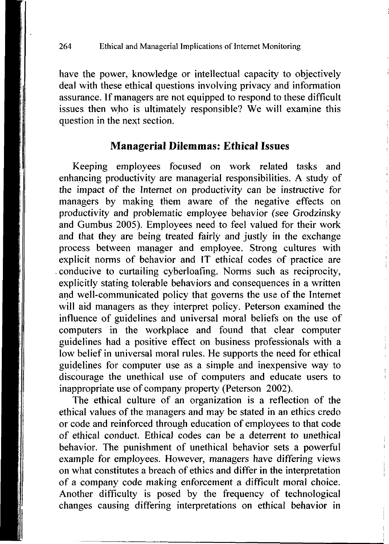have the power, knowledge or intellectual capacity to objectively deal with these ethical questions involving privacy and information assurance. If managers are not equipped to respond to these difficult issues then who is ultimately responsible? We will examine this question in the next section.

#### **Managerial Dilemmas: Ethical Issues**

Keeping employees focused on work related tasks and enhancing productivity are managerial responsibilities. A study of the impact of the Internet on productivity can be instructive for managers by making them aware of the negative effects on productivity and problematic employee behavior (see Grodzinsky and Gumbus 2005). Employees need to feel valued for their work and that they are being treated fairly and justly in the exchange process between manager and employee. Strong cultures with explicit norms of behavior and IT ethical codes of practice are conducive to curtailing cyberloafing. Norms such as reciprocity, explicitly stating tolerable behaviors and consequences in a written and well-communicated policy that governs the use of the Internet will aid managers as they interpret policy. Peterson examined the influence of guidelines and universal moral beliefs on the use of computers in the workplace and found that clear computer guidelines had a positive effect on business professionals with a low belief in universal moral rules. He supports the need for ethical guidelines for computer use as a simple and inexpensive way to discourage the unethical use of computers and educate users to inappropriate use of company property (Peterson 2002).

The ethical culture of an organization is a reflection of the ethical values of the managers and may be stated in an ethics credo or code and reinforced through education of employees to that code of ethical conduct. Ethical codes can be a deterrent to unethical behavior. The punishment of unethical behavior sets a powerful example for employees. However, managers have differing views on what constitutes a breach of ethics and differ in the interpretation of a company code making enforcement a difficult moral choice. Another difficulty is posed by the frequency of technological changes causing differing interpretations on ethical behavior in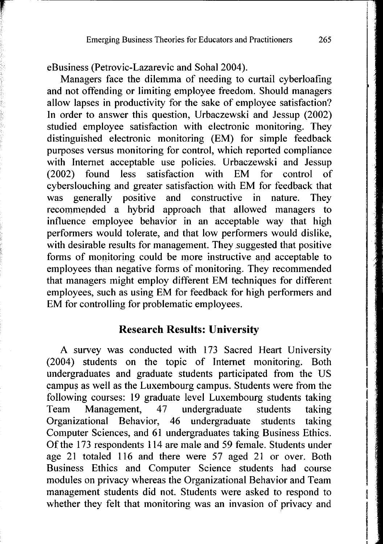eBusiness (Petrovic-Lazarevic and Sohal 2004).

Managers face the dilemma of needing to curtail cyberloafing and not offending or limiting employee freedom. Should managers allow lapses in productivity for the sake of employee satisfaction? In order to answer this question, Urbaczewski and Jessup (2002) studied employee satisfaction with electronic monitoring. They distinguished electronic monitoring (EM) for simple feedback purposes versus monitoring for control, which reported compliance with Internet acceptable use policies. Urbaczewski and Jessup (2002) found less satisfaction with EM for control of cyberslouching and greater satisfaction with EM for feedback that was generally positive and constructive in nature. They recommended a hybrid approach that allowed managers to influence employee behavior in an acceptable way that high performers would tolerate, and that low performers would dislike, with desirable results for management. They suggested that positive forms of monitoring could be more instructive and acceptable to employees than negative forms of monitoring. They recommended that managers might employ different EM techniques for different employees, such as using EM for feedback for high performers and EM for controlling for problematic employees.

#### **Research Results: University**

A survey was conducted with 173 Sacred Heart University (2004) students on the topic of Internet monitoring. Both undergraduates and graduate students participated from the US campus as well as the Luxembourg campus. Students were from the following courses: 19 graduate level Luxembourg students taking Team Management, 47 undergraduate students taking Organizational Behavior, 46 undergraduate students taking Computer Sciences, and 61 undergraduates taking Business Ethics. Of the 173 respondents 114 are male and 59 female. Students under age 21 totaled 116 and there were 57 aged 21 or over. Both Business Ethics and Computer Science students had course modules on privacy whereas the Organizational Behavior and Team management students did not. Students were asked to respond to whether they felt that monitoring was an invasion of privacy and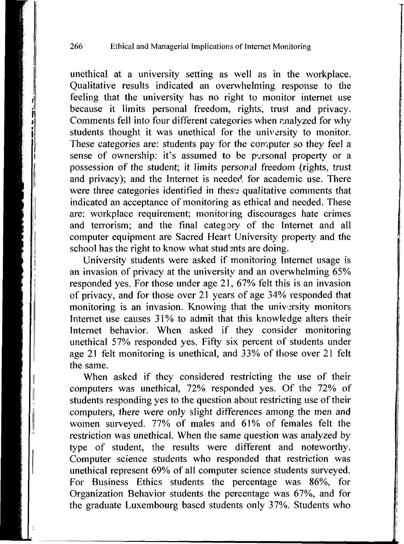unethical at a university setting as well as in the workplace. Qualitative results indicated an overwhelming response to the feeling that the university has no right to monitor internet use because it limits personal freedom, rights, trust and privacy. Comments fell into four different categories when analyzed for why students thought it was unethical for the university to monitor. These categories are: students pay for the computer so they feel a sense of ownership: it's assumed to be personal property or a possession of the student; it limits personal freedom (rights, trust and privacy); and the Internet is needed for academic use. There were three categories identified in thes<sup>2</sup> qualitative comments that indicated an acceptance of monitoring as ethical and needed. These are: workplace requirement; monitoring discourages hate crimes and terrorism; and the final category of the Internet and all computer equipment are Sacred Heart University property and the school has the right to know what students are doing.

University students were asked if monitoring Internet usage is an invasion of privacy at the university and an overwhelming 65% responded yes. For those under age 21, 67% felt this is an invasion of privacy, and for those over 21 years of age 34% responded that monitoring is an invasion. Knowing that the university monitors Internet use causes 31% to admit that this knowledge alters their Internet behavior. When asked if they consider monitoring unethical 57% responded yes. Fifty six percent of students under age 21 felt monitoring is unethical, and 33% of those over 21 felt the same.

When asked if they considered restricting the use of their computers was unethical, 72% responded yes. Of the 72% of students responding yes to the question about restricting use of their computers, there were only slight differences among the men and women surveyed. 77% of males and 61% of females felt the restriction was unethical. When the same question was analyzed by type of student, the results were different and noteworthy. Computer science students who responded that restriction was unethical represent 69% of all computer science students surveyed. For Business Ethics students the percentage was 86%, for Organization Behavior students the percentage was 67%, and for the graduate Luxembourg based students only 37%. Students who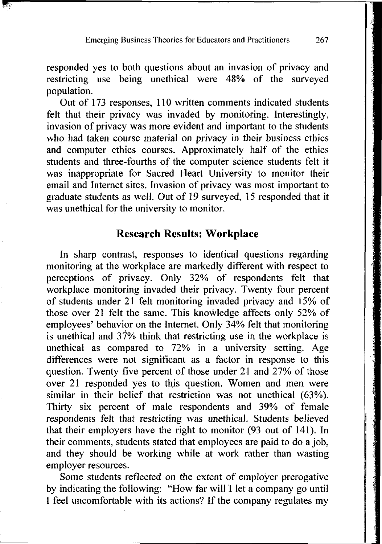responded yes to both questions about an invasion of privacy and restricting use being unethical were 48% of the surveyed population.

Out of 173 responses, 110 written comments indicated students felt that their privacy was invaded by monitoring. Interestingly, invasion of privacy was more evident and important to the students who had taken course material on privacy in their business ethics and computer ethics courses. Approximately half of the ethics students and three-fourths of the computer science students felt it was inappropriate for Sacred Heart University to monitor their email and Internet sites. Invasion of privacy was most important to graduate students as well. Out of 19 surveyed, 15 responded that it was unethical for the university to monitor.

#### **Research Results: Workplace**

In sharp contrast, responses to identical questions regarding monitoring at the workplace are markedly different with respect to perceptions of privacy. Only 32% of respondents felt that workplace monitoring invaded their privacy. Twenty four percent of students under 21 felt monitoring invaded privacy and 15% of those over 21 felt the same. This knowledge affects only 52% of employees' behavior on the Internet. Only 34% felt that monitoring is unethical and 37% think that restricting use in the workplace is unethical as compared to 72% in a university setting. Age differences were not significant as a factor in response to this question. Twenty five percent of those under 21 and 27% of those over 21 responded yes to this question. Women and men were similar in their belief that restriction was not unethical (63%). Thirty six percent of male respondents and 39% of female respondents felt that restricting was unethical. Students believed that their employers have the right to monitor (93 out of 141). In their comments, students stated that employees are paid to do a job, and they should be working while at work rather than wasting employer resources.

Some students reflected on the extent of employer prerogative by indicating the following: "How far will I let a company go until I feel uncomfortable with its actions? If the company regulates my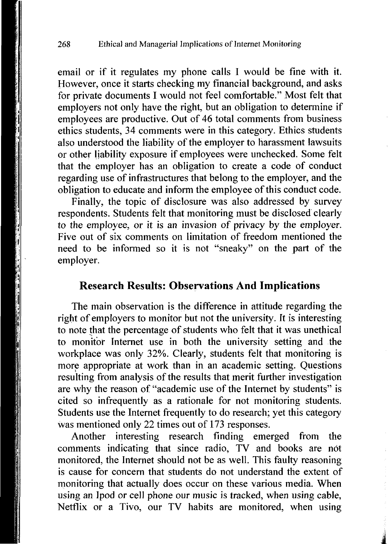email or if it regulates my phone calls I would be fine with it. However, once it starts checking my financial background, and asks for private documents I would not feel comfortable." Most felt that employers not only have the right, but an obligation to determine if employees are productive. Out of 46 total comments from business ethics students, 34 comments were in this category. Ethics students also understood the liability of the employer to harassment lawsuits or other liability exposure if employees were unchecked. Some felt that the employer has an obligation to create a code of conduct regarding use of infrastructures that belong to the employer, and the obligation to educate and inform the employee of this conduct code.

Finally, the topic of disclosure was also addressed by survey respondents. Students felt that monitoring must be disclosed clearly to the employee, or it is an invasion of privacy by the employer. Five out of six comments on limitation of freedom mentioned the need to be informed so it is not "sneaky" on the part of the employer.

#### **Research Results: Observations And Implications**

The main observation is the difference in attitude regarding the right of employers to monitor but not the university. It is interesting to note that the percentage of students who felt that it was unethical to monitor Internet use in both the university setting and the workplace was only 32%. Clearly, students felt that monitoring is more appropriate at work than in an academic setting. Questions resulting from analysis of the results that merit further investigation are why the reason of "academic use of the Internet by students" is cited so infrequently as a rationale for not monitoring students. Students use the Internet frequently to do research; yet this category was mentioned only 22 times out of 173 responses.

Another interesting research finding emerged from the comments indicating that since radio, TV and books are not monitored, the Internet should not be as well. This faulty reasoning is cause for concern that students do not understand the extent of monitoring that actually does occur on these various media. When using an Ipod or cell phone our music is tracked, when using cable, Netflix or a Tivo, our TV habits are monitored, when using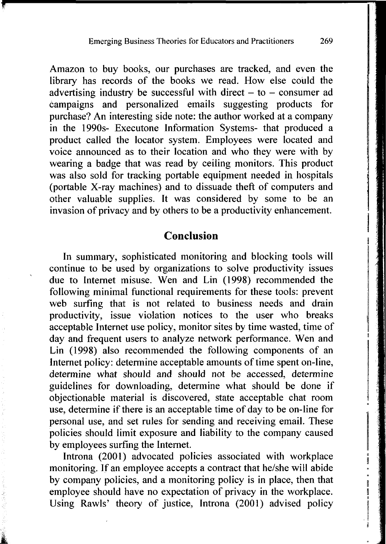Amazon to buy books, our purchases are tracked, and even the library has records of the books we read. How else could the advertising industry be successful with direct  $-$  to  $-$  consumer ad campaigns and personalized emails suggesting products for purchase? An interesting side note: the author worked at a company in the 1990s- Executone Information Systems- that produced a product called the locator system. Employees were located and voice announced as to their location and who they were with by wearing a badge that was read by ceiling monitors. This product was also sold for tracking portable equipment needed in hospitals (portable X-ray machines) and to dissuade theft of computers and other valuable supplies. It was considered by some to be an invasion of privacy and by others to be a productivity enhancement.

#### **Conclusion**

In summary, sophisticated monitoring and blocking tools will continue to be used by organizations to solve productivity issues due to Internet misuse. Wen and Lin (1998) recommended the following minimal functional requirements for these tools: prevent web surfing that is not related to business needs and drain productivity, issue violation notices to the user who breaks acceptable Internet use policy, monitor sites by time wasted, time of day and frequent users to analyze network performance. Wen and Lin (1998) also recommended the following components of an Internet policy: determine acceptable amounts of time spent on-line, determine what should and should not be accessed, determine guidelines for downloading, determine what should be done if objectionable material is discovered, state acceptable chat room use, determine if there is an acceptable time of day to be on-line for personal use, and set rules for sending and receiving email. These policies should limit exposure and liability to the company caused by employees surfing the Internet.

Introna (2001) advocated policies associated with workplace monitoring. If an employee accepts a contract that he/she will abide by company policies, and a monitoring policy is in place, then that employee should have no expectation of privacy in the workplace. Using Rawls' theory of justice, Introna (2001) advised policy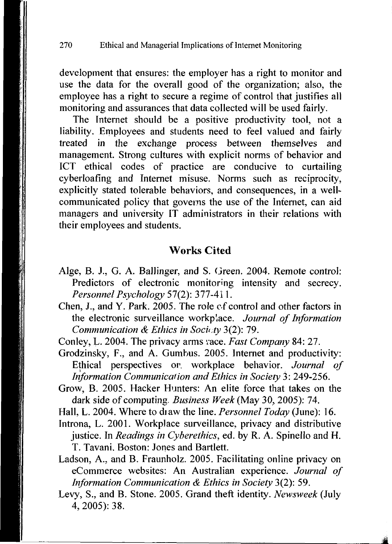development that ensures: the employer has a right to monitor and use the data for the overall good of the organization; also, the employee has a right to secure a regime of control that justifies all monitoring and assurances that data collected will be used fairly.

The Internet should be a positive productivity tool, not a liability. Employees and students need to feel valued and fairly treated in the exchange process between themselves and management. Strong cultures with explicit norms of behavior and ICT ethical codes of practice are conducive to curtailing cyberloafing and Internet misuse. Norms such as reciprocity, explicitly stated tolerable behaviors, and consequences, in a wellcommunicated policy that governs the use of the Internet, can aid managers and university IT administrators in their relations with their employees and students.

#### **Works Cited**

- Alge, B. J., G. A. Ballinger, and S. Green. 2004. Remote control: Predictors of electronic monitoring intensity and secrecy. *Personnel Psychology* 57(2): 377-411.
- Chen, J., and Y. Park. 2005. The role of control and other factors in the electronic surveillance workplace. *Journal of Information Communication & Ethics in Society* 3(2): 79.
- Conley, L. 2004. The privacy arms vace. *Fast Company* 84: 27.
- Grodzinsky, F., and A. Gumbus. 2005. Internet and productivity: Ethical perspectives or. workplace behavior. *Journal of Information Communication and Ethics in Society* 3: 249-256.
- Grow, B. 2005. Hacker Hunters: An elite force that takes on the dark side of computing. *Business Week (May* 30, 2005): 74.
- Hall, L. 2004. Where to diaw the line. *Personnel Today* (June): 16.
- Introna, L. 2001. Workplace surveillance, privacy and distributive justice. In *Readings in Cyberethics,* ed. by R. A. Spinello and H. T. Tavani. Boston: Jones and Bartlett.
- Ladson, A., and B. Fraunholz. 2005. Facilitating online privacy on eCommerce websites: An Australian experience. *Journal of Information Communication & Ethics in Society* 3(2): 59.
- Levy, S., and B. Stone. 2005. Grand theft identity. *Newsweek* (July 4, 2005): 38.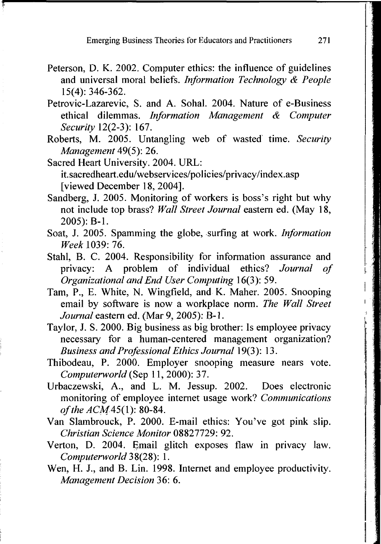- Peterson, D. K. 2002. Computer ethics: the influence of guidelines and universal moral beliefs. *Information Technology & People*  15(4): 346-362.
- Petrovic-Lazarevic, S. and A. Sohal. 2004. Nature of e-Business ethical dilemmas. *Information Management & Computer Security* 12(2-3): 167.
- Roberts, M. 2005. Untangling web of wasted time. *Security Management* 49(5): 26.
- Sacred Heart University. 2004. URL: [it.sacredheart.edu/webservices/policies/privacy/index.asp](http://it.sacredheart.edu/webservices/policies/privacy/index.asp)  [viewed December 18, 2004].
- Sandberg, J. 2005. Monitoring of workers is boss's right but why not include top brass? *Wall Street Journal* eastern ed. (May 18, 2005): B-l.
- Soat, J. 2005. Spamming the globe, surfing at work. *Information Week* 1039: 76.
- Stahl, B. C. 2004. Responsibility for information assurance and privacy: A problem of individual ethics? *Journal of Organizational and End User Computing* 16(3): 59.
- Tam, P., E. White, N. Wingfield, and K. Maher. 2005. Snooping email by software is now a workplace norm. *The Wall Street Journal* eastern ed. (Mar 9, 2005): B-l.
- Taylor, J. S. 2000. Big business as big brother: Is employee privacy necessary for a human-centered management organization? *Business and Professional Ethics Journal* 19(3): 13.
- Thibodeau, P. 2000. Employer snooping measure nears vote. *Computerworld* (Sep 11, 2000): 37.
- Urbaczewski, A., and L. M. Jessup. 2002. Does electronic monitoring of employee internet usage work? *Communications of the ACM*45(1): 80-84.
- Van Slambrouck, P. 2000. E-mail ethics: You've got pink slip. *Christian Science Monitor* 08827729: 92.
- Verton, D. 2004. Email glitch exposes flaw in privacy law. *Computerworld* 38(28): 1.
- Wen, H. J., and B. Lin. 1998. Internet and employee productivity. *Management Decision* 36: 6.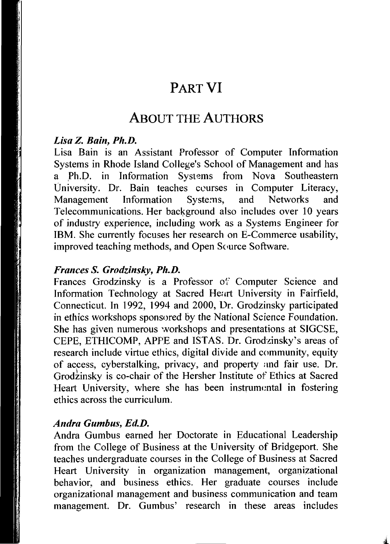# **PAR T V I**

## **ABOU T TH E AUTHOR S**

#### *Lisa Z. Bain, Ph.D.*

Lisa Bain is an Assistant Professor of Computer Information Systems in Rhode Island College's School of Management and has a Ph.D. in Information Systems from Nova Southeastern University. Dr. Bain teaches courses in Computer Literacy, Management Information Systems, and Networks and Telecommunications. Her background also includes over 10 years of industry experience, including work as a Systems Engineer for IBM. She currently focuses her research on E-Commerce usability, improved teaching methods, and Open Source Software.

#### *Frances S. Grodzinsky, Ph.D.*

Frances Grodzinsky is a Professor of Computer Science and Information Technology at Sacred Heurt University in Fairfield, Connecticut. In 1992, 1994 and 2000, Dr. Grodzinsky participated in ethics workshops sponsored by the National Science Foundation. She has given numerous workshops and presentations at SIGCSE, CEPE, ETHICOMP, APPE and ISTAS. Dr. Grodzinsky's areas of research include virtue ethics, digital divide and community, equity of access, cyberstalking, privacy, and property and fair use. Dr. Grodzinsky is co-chair of the Hersher Institute of Ethics at Sacred Heart University, where she has been instrumental in fostering ethics across the curriculum.

#### *Andra Gumbus, Ed.D.*

Andra Gumbus earned her Doctorate in Educational Leadership from the College of Business at the University of Bridgeport. She teaches undergraduate courses in the College of Business at Sacred Heart University in organization management, organizational behavior, and business ethics. Her graduate courses include organizational management and business communication and team management. Dr. Gumbus' research in these areas includes